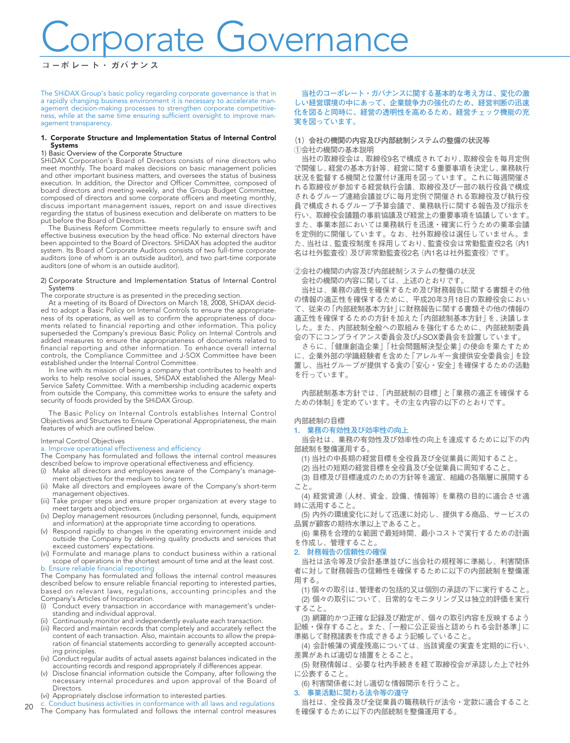# Corporate Governance

The SHiDAX Group's basic policy regarding corporate governance is that in a rapidly changing business environment it is necessary to accelerate management decision-making processes to strengthen corporate competitiveness, while at the same time ensuring sufficient oversight to improve management transparency.

#### 1. Corporate Structure and Implementation Status of Internal Control Systems

#### 1) Basic Overview of the Corporate Structure

SHiDAX Corporation's Board of Directors consists of nine directors who meet monthly. The board makes decisions on basic management policies and other important business matters, and oversees the status of business execution. In addition, the Director and Officer Committee, composed of board directors and meeting weekly, and the Group Budget Committee, composed of directors and some corporate officers and meeting monthly, discuss important management issues, report on and issue directives regarding the status of business execution and deliberate on matters to be put before the Board of Directors.

The Business Reform Committee meets regularly to ensure swift and effective business execution by the head office. No external directors have been appointed to the Board of Directors. SHiDAX has adopted the auditor system. Its Board of Corporate Auditors consists of two full-time corporate auditors (one of whom is an outside auditor), and two part-time corporate auditors (one of whom is an outside auditor).

#### 2) Corporate Structure and Implementation Status of Internal Control Systems

The corporate structure is as presented in the preceding section.

At a meeting of its Board of Directors on March 18, 2008, SHiDAX decided to adopt a Basic Policy on Internal Controls to ensure the appropriateness of its operations, as well as to confirm the appropriateness of documents related to financial reporting and other information. This policy superseded the Company's previous Basic Policy on Internal Controls and added measures to ensure the appropriateness of documents related to financial reporting and other information. To enhance overall internal controls, the Compliance Committee and J-SOX Committee have been established under the Internal Control Committee.

In line with its mission of being a company that contributes to health and works to help resolve social issues, SHiDAX established the Allergy Meal-Service Safety Committee. With a membership including academic experts from outside the Company, this committee works to ensure the safety and security of foods provided by the SHiDAX Group.

The Basic Policy on Internal Controls establishes Internal Control Objectives and Structures to Ensure Operational Appropriateness, the main features of which are outlined below.

## Internal Control Objectives a. Improve operational effectiveness and efficiency

The Company has formulated and follows the internal control measures described below to improve operational effectiveness and efficiency.

- (i) Make all directors and employees aware of the Company's management objectives for the medium to long term.
- (ii) Make all directors and employees aware of the Company's short-term management objectives.
- (iii) Take proper steps and ensure proper organization at every stage to meet targets and objectives.
- (iv) Deploy management resources (including personnel, funds, equipment and information) at the appropriate time according to operations.
- (v) Respond rapidly to changes in the operating environment inside and outside the Company by delivering quality products and services that exceed customers' expectations.
- (vi) Formulate and manage plans to conduct business within a rational scope of operations in the shortest amount of time and at the least cost. b. Ensure reliable financial reporting

#### The Company has formulated and follows the internal control measures

described below to ensure reliable financial reporting to interested parties, based on relevant laws, regulations, accounting principles and the Company's Articles of Incorporation.<br>(i) Conduct every transaction in a

- Conduct every transaction in accordance with management's understanding and individual approval.
- (ii) Continuously monitor and independently evaluate each transaction.
- (iii) Record and maintain records that completely and accurately reflect the content of each transaction. Also, maintain accounts to allow the preparation of financial statements according to generally accepted accounting principles.
- (iv) Conduct regular audits of actual assets against balances indicated in the accounting records and respond appropriately if differences appear.
- Disclose financial information outside the Company, after following the necessary internal procedures and upon approval of the Board of Directors<sup>1</sup>
- (vi) Appropriately disclose information to interested parties.
- $20$ Conduct business activities in conformance with all laws and regulations The Company has formulated and follows the internal control measures

**当社のコーポレート・ガバナンスに関する基本的な考え方は、変化の激 しい経営環境の中にあって、企業競争力の強化のため、経営判断の迅速 化を図ると同時に、経営の透明性を高めるため、経営チェック機能の充 実を図っています。**

#### **(1)会社の機関の内容及び内部統制システムの整備の状況等** ①会社の機関の基本説明

当社の取締役会は、取締役9名で構成されており、取締役会を毎月定例 で開催し、経営の基本方針等、経営に関する重要事項を決定し、業務執行 状況を監督する機関と位置付け運用を図っています。これに毎週開催さ れる取締役が参加する経営執行会議、取締役及び一部の執行役員で構成 されるグループ連絡会議並びに毎月定例で開催される取締役及び執行役 員で構成されるグループ予算会議で、業務執行に関する報告及び指示を 行い、取締役会議題の事前協議及び経営上の重要事項を協議しています。 また、事業本部においては業務執行を迅速・確実に行うための業革会議 を定例的に開催しています。なお、社外取締役は選任していません。ま た、当社は、監査役制度を採用しており、監査役会は常勤監査役2名(内1 名は社外監査役)及び非常勤監査役2名 (内1名は社外監査役)です。

#### ②会社の機関の内容及び内部統制システムの整備の状況

会社の機関の内容に関しては、上述のとおりです。

当社は、業務の適性を確保するため及び財務報告に関する書類その他 の情報の適正性を確保するために、平成20年3月18日の取締役会におい て、従来の「内部統制基本方針」に財務報告に関する書類その他の情報の 適正性を確保するための方針を加えた「内部統制基本方針」を、決議しま した。また、内部統制全般への取組みを強化するために、内部統制委員 会の下にコンプライアンス委員会及びJ-SOX委員会を設置しています。

さらに、「健康創造企業」「社会問題解決型企業」の使命を果たすため に、企業外部の学識経験者を含めた「アレルギー食提供安全委員会」を設 置し、当社グループが提供する食の「安心・安全」を確保するための活動 を行っています。

内部統制基本方針では、「内部統制の目標」と「業務の適正を確保する ための体制」を定めています。その主な内容の以下のとおりです。

#### 内部統制の目標

#### **1. 業務の有効性及び効率性の向上**

当会社は、業務の有効性及び効率性の向上を達成するために以下の内 部統制を整備運用する。

(1) 当社の中長期の経営目標を全役員及び全従業員に周知すること。

(2) 当社の短期の経営目標を全役員及び全従業員に周知すること。

(3) 目標及び目標達成のための方針等を適宜、組織の各階層に展開する こと。

(4) 経営資源(人材、資金、設備、情報等)を業務の目的に適合させ適 時に活用すること。

(5) 内外の環境変化に対して迅速に対応し、提供する商品、サービスの 品質が顧客の期待水準以上であること。

(6) 業務を合理的な範囲で最短時間、最小コストで実行するための計画 を作成し、管理すること。

#### **2. 財務報告の信頼性の確保**

当社は法令等及び会計基準並びに当会社の規程等に準拠し、利害関係 者に対して財務報告の信頼性を確保するために以下の内部統制を整備運 用する。

(1) 個々の取引は、管理者の包括的又は個別の承認の下に実行すること。 (2) 個々の取引について、日常的なモニタリング又は独立的評価を実行 すること。

(3) 網羅的かつ正確な記録及び勘定が、個々の取引内容を反映するよう 記帳・保存すること。また、「一般に公正妥当と認められる会計基準」に 準拠して財務諸表を作成できるよう記帳していること。

(4) 会計帳簿の資産残高については、当該資産の実査を定期的に行い、 差異があれば適切な措置をとること。

(5) 財務情報は、必要な社内手続きを経て取締役会が承認した上で社外 に公表すること。

(6) 利害関係者に対し適切な情報開示を行うこと。

#### **3. 事業活動に関わる法令等の遵守**

当社は、全役員及び全従業員の職務執行が法令・定款に適合すること を確保するために以下の内部統制を整備運用する。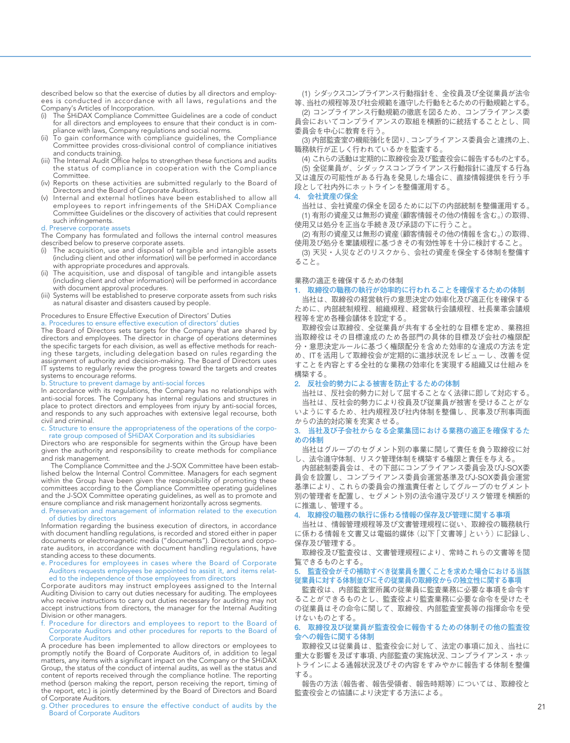described below so that the exercise of duties by all directors and employees is conducted in accordance with all laws, regulations and the Company's Articles of Incorporation.

- (i) The SHiDAX Compliance Committee Guidelines are a code of conduct for all directors and employees to ensure that their conduct is in compliance with laws, Company regulations and social norms.
- (ii) To gain conformance with compliance guidelines, the Compliance Committee provides cross-divisional control of compliance initiatives and conducts training.
- (iii) The Internal Audit Office helps to strengthen these functions and audits the status of compliance in cooperation with the Compliance Committee.
- (iv) Reports on these activities are submitted regularly to the Board of Directors and the Board of Corporate Auditors.
- (v) Internal and external hotlines have been established to allow all employees to report infringements of the SHiDAX Compliance Committee Guidelines or the discovery of activities that could represent such infringements.

#### d. Preserve corporate assets

The Company has formulated and follows the internal control measures described below to preserve corporate assets.

- (i) The acquisition, use and disposal of tangible and intangible assets (including client and other information) will be performed in accordance with appropriate procedures and approvals.
- (ii) The acquisition, use and disposal of tangible and intangible assets (including client and other information) will be performed in accordance with document approval procedures.
- (iii) Systems will be established to preserve corporate assets from such risks as natural disaster and disasters caused by people.

#### Procedures to Ensure Effective Execution of Directors' Duties

a. Procedures to ensure effective execution of directors' duties

The Board of Directors sets targets for the Company that are shared by directors and employees. The director in charge of operations determines the specific targets for each division, as well as effective methods for reaching these targets, including delegation based on rules regarding the assignment of authority and decision-making. The Board of Directors uses IT systems to regularly review the progress toward the targets and creates systems to encourage reforms.

#### b. Structure to prevent damage by anti-social forces

In accordance with its regulations, the Company has no relationships with anti-social forces. The Company has internal regulations and structures in place to protect directors and employees from injury by anti-social forces, and responds to any such approaches with extensive legal recourse, both civil and criminal.

#### c. Structure to ensure the appropriateness of the operations of the corporate group composed of SHiDAX Corporation and its subsidiaries

Directors who are responsible for segments within the Group have been given the authority and responsibility to create methods for compliance and risk management.

The Compliance Committee and the J-SOX Committee have been established below the Internal Control Committee. Managers for each segment within the Group have been given the responsibility of promoting these committees according to the Compliance Committee operating guidelines and the J-SOX Committee operating guidelines, as well as to promote and ensure compliance and risk management horizontally across segments.

#### d. Preservation and management of information related to the execution of duties by directors

Information regarding the business execution of directors, in accordance with document handling regulations, is recorded and stored either in paper documents or electromagnetic media ("documents"). Directors and corporate auditors, in accordance with document handling regulations, have standing access to these documents.

#### e. Procedures for employees in cases where the Board of Corporate Auditors requests employees be appointed to assist it, and items related to the independence of those employees from directors

Corporate auditors may instruct employees assigned to the Internal Auditing Division to carry out duties necessary for auditing. The employees who receive instructions to carry out duties necessary for auditing may not accept instructions from directors, the manager for the Internal Auditing Division or other managers.

#### Procedure for directors and employees to report to the Board of Corporate Auditors and other procedures for reports to the Board of Corporate Auditors

A procedure has been implemented to allow directors or employees to promptly notify the Board of Corporate Auditors of, in addition to legal matters, any items with a significant impact on the Company or the SHiDAX Group, the status of the conduct of internal audits, as well as the status and content of reports received through the compliance hotline. The reporting method (person making the report, person receiving the report, timing of the report, etc.) is jointly determined by the Board of Directors and Board of Corporate Auditors.

g. Other procedures to ensure the effective conduct of audits by the Board of Corporate Auditors

(1) シダックスコンプライアンス行動指針を、全役員及び全従業員が法令 等、当社の規程等及び社会規範を遵守した行動をとるための行動規範とする。

(2) コンプライアンス行動規範の徹底を図るため、コンプライアンス委 員会においてコンプライアンスの取組を横断的に統括することとし、同 委員会を中心に教育を行う。

(3) 内部監査室の機能強化を図り、コンプライアンス委員会と連携の上、 職務執行が正しく行われているかを監査する。

(4) これらの活動は定期的に取締役会及び監査役会に報告するものとする。 (5) 全従業員が、シダックスコンプライアンス行動指針に違反する行為

又は違反の可能性がある行為を発見した場合に、直接情報提供を行う手 段として社内外にホットラインを整備運用する。

#### **4. 会社資産の保全**

当社は、会社資産の保全を図るために以下の内部統制を整備運用する。 (1) 有形の資産又は無形の資産(顧客情報その他の情報を含む。)の取得、 使用又は処分を正当な手続き及び承認の下に行うこと。

(2) 有形の資産又は無形の資産(顧客情報その他の情報を含む。)の取得、 使用及び処分を稟議規程に基づきその有効性等を十分に検討すること。

(3) 天災・人災などのリスクから、会社の資産を保全する体制を整備す ること。

#### 業務の適正を確保するための体制

#### **1. 取締役の職務の執行が効率的に行われることを確保するための体制**

当社は、取締役の経営執行の意思決定の効率化及び適正化を確保する ために、内部統制規程、組織規程、経営執行会議規程、社長業革会議規 程等を定め各種会議体を設定する。

取締役会は取締役、全従業員が共有する全社的な目標を定め、業務担 当取締役はその目標達成のため各部門の具体的目標及び会社の権限配 分・意思決定ルールに基づく権限配分を含めた効率的な達成の方法を定 め、ITを活用して取締役会が定期的に進捗状況をレビューし、改善を促 すことを内容とする全社的な業務の効率化を実現する組織又は仕組みを 構築する。

#### **2. 反社会的勢力による被害を防止するための体制**

当社は、反社会的勢力に対して屈することなく法律に即して対応する。 当社は、反社会的勢力により役員及び従業員が被害を受けることがな

#### いようにするため、社内規程及び社内体制を整備し、民事及び刑事両面 からの法的対応策を充実させる。 **3. 当社及び子会社からなる企業集団における業務の適正を確保するた**

## **めの体制**

当社はグループのセグメント別の事業に関して責任を負う取締役に対 し、法令遵守体制、リスク管理体制を構築する権限と責任を与える。

内部統制委員会は、その下部にコンプライアンス委員会及びJ-SOX委 員会を設置し、コンプライアンス委員会運営基準及びJ-SOX委員会運営 基準により、これらの委員会の推進責任者としてグループのセグメント 別の管理者を配置し、セグメント別の法令遵守及びリスク管理を横断的 に推進し、管理する。

#### **4. 取締役の職務の執行に係わる情報の保存及び管理に関する事項**

当社は、情報管理規程等及び文書管理規程に従い、取締役の職務執行 に係わる情報を文書又は電磁的媒体(以下「文書等」という)に記録し、 保存及び管理する。

取締役及び監査役は、文書管理規程により、常時これらの文書等を閲 覧できるものとする。

#### **5. 監査役会がその補助すべき従業員を置くことを求めた場合における当該 従業員に対する体制並びにその従業員の取締役からの独立性に関する事項**

監査役は、内部監査室所属の従業員に監査業務に必要な事項を命令す ることができるものとし、監査役より監査業務に必要な命令を受けたそ の従業員はその命令に関して、取締役、内部監査室長等の指揮命令を受 けないものとする。

#### **6. 取締役及び従業員が監査役会に報告するための体制その他の監査役 会への報告に関する体制**

取締役又は従業員は、監査役会に対して、法定の事項に加え、当社に 重大な影響を及ぼす事項、内部監査の実施状況、コンプライアンス・ホッ トラインによる通報状況及びその内容をすみやかに報告する体制を整備 する。

報告の方法(報告者、報告受領者、報告時期等)については、取締役と 監査役会との協議により決定する方法による。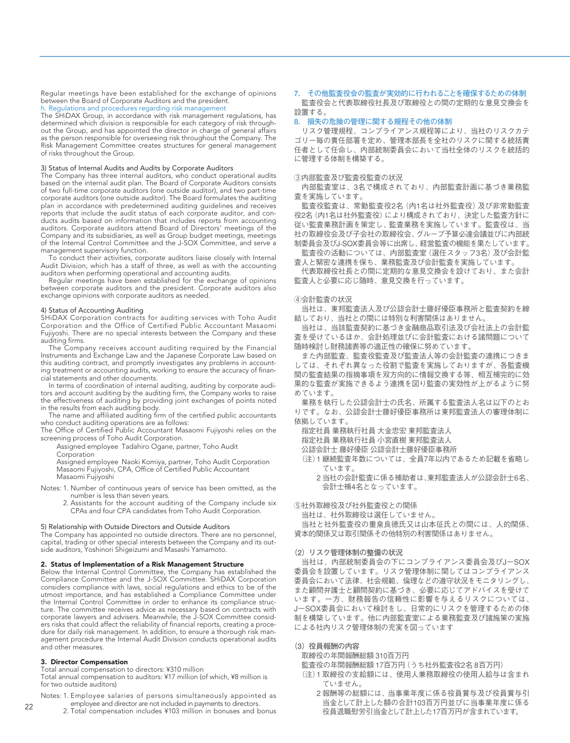Regular meetings have been established for the exchange of opinions between the Board of Corporate Auditors and the president.

#### h. Regulations and procedures regarding risk management

The SHiDAX Group, in accordance with risk management regulations, has determined which division is responsible for each category of risk throughout the Group, and has appointed the director in charge of general affairs as the person responsible for overseeing risk throughout the Company. The Risk Management Committee creates structures for general management of risks throughout the Group.

#### 3) Status of Internal Audits and Audits by Corporate Auditors

The Company has three internal auditors, who conduct operational audits based on the internal audit plan. The Board of Corporate Auditors consists of two full-time corporate auditors (one outside auditor), and two part-time corporate auditors (one outside auditor). The Board formulates the auditing plan in accordance with predetermined auditing guidelines and receives reports that include the audit status of each corporate auditor, and conducts audits based on information that includes reports from accounting auditors. Corporate auditors attend Board of Directors' meetings of the Company and its subsidiaries, as well as Group budget meetings, meetings of the Internal Control Committee and the J-SOX Committee, and serve a management supervisory function.

To conduct their activities, corporate auditors liaise closely with Internal Audit Division, which has a staff of three, as well as with the accounting auditors when performing operational and accounting audits.

Regular meetings have been established for the exchange of opinions between corporate auditors and the president. Corporate auditors also exchange opinions with corporate auditors as needed.

#### 4) Status of Accounting Auditing

SHiDAX Corporation contracts for auditing services with Toho Audit Corporation and the Office of Certified Public Accountant Masaomi Fujiyoshi. There are no special interests between the Company and these auditing firms.

The Company receives account auditing required by the Financial Instruments and Exchange Law and the Japanese Corporate Law based on this auditing contract, and promptly investigates any problems in accounting treatment or accounting audits, working to ensure the accuracy of financial statements and other documents.

In terms of coordination of internal auditing, auditing by corporate auditors and account auditing by the auditing firm, the Company works to raise the effectiveness of auditing by providing joint exchanges of points noted in the results from each auditing body.

The name and affiliated auditing firm of the certified public accountants who conduct auditing operations are as follows:

The Office of Certified Public Accountant Masaomi Fujiyoshi relies on the screening process of Toho Audit Corporation.

Assigned employee Tadahiro Ogane, partner, Toho Audit

Corporation

Assigned employee Naoki Komiya, partner, Toho Audit Corporation Masaomi Fujiyoshi, CPA, Office of Certified Public Accountant Masaomi Fujiyoshi

- Notes: 1. Number of continuous years of service has been omitted, as the number is less than seven years.
	- 2. Assistants for the account auditing of the Company include six CPAs and four CPA candidates from Toho Audit Corporation.

#### 5) Relationship with Outside Directors and Outside Auditors

The Company has appointed no outside directors. There are no personnel, capital, trading or other special interests between the Company and its outside auditors, Yoshinori Shigeizumi and Masashi Yamamoto.

#### 2. Status of Implementation of a Risk Management Structure

Below the Internal Control Committee, the Company has established the Compliance Committee and the J-SOX Committee. SHiDAX Corporation considers compliance with laws, social regulations and ethics to be of the utmost importance, and has established a Compliance Committee under the Internal Control Committee in order to enhance its compliance structure. The committee receives advice as necessary based on contracts with corporate lawyers and advisers. Meanwhile, the J-SOX Committee considers risks that could affect the reliability of financial reports, creating a procedure for daily risk management. In addition, to ensure a thorough risk management procedure the Internal Audit Division conducts operational audits and other measures.

#### 3. Director Compensation

Total annual compensation to directors: ¥310 million

Total annual compensation to auditors: ¥17 million (of which, ¥8 million is for two outside auditors)

- Notes: 1. Employee salaries of persons simultaneously appointed as employee and director are not included in payments to directors.
	- 2. Total compensation includes ¥103 million in bonuses and bonus

### **7. その他監査役会の監査が実効的に行われることを確保するための体制**

監査役会と代表取締役社長及び取締役との間の定期的な意見交換会を 設置する。

#### **8. 損失の危険の管理に関する規程その他の体制**

リスク管理規程、コンプライアンス規程等により、当社のリスクカテ ゴリー毎の責任部署を定め、管理本部長を全社のリスクに関する統括責 任者として任命し、内部統制委員会において当社全体のリスクを統括的 に管理する体制を構築する。

#### ③内部監査及び監査役監査の状況

内部監査室は、3名で構成されており、内部監査計画に基づき業務監 査を実施しています。

監査役監査は、常勤監査役2名(内1名は社外監査役)及び非常勤監査 役2名(内1名は社外監査役)により構成されており、決定した監査方針に 従い監査業務計画を策定し、監査業務を実施しています。監査役は、当 社の取締役会及び子会社の取締役会、グループ予算必達会議並びに内部統 制委員会及びJ-SOX委員会等に出席し、経営監査の機能を果たしています。 監査役の活動については、内部監査室(選任スタッフ3名)及び会計監

査人と緊密な連携を保ち、業務監査及び会計監査を実施しています。

代表取締役社長との間に定期的な意見交換会を設けており、また会計 監査人と必要に応じ随時、意見交換を行っています。

#### ④会計監査の状況

当社は、東邦監査法人及び公認会計士藤好優臣事務所と監査契約を締 結しており、当社との間には特別な利害関係はありません。

当社は、当該監査契約に基づき金融商品取引法及び会社法上の会計監 査を受けているほか、会計処理並びに会計監査における諸問題について 随時検討し財務諸表等の適正性の確保に努めています。

また内部監査、監査役監査及び監査法人等の会計監査の連携につきま しては、それぞれ異なった役割で監査を実施しておりますが、各監査機 関の監査結果の指摘事項を双方向的に情報交換する等、相互補完的に効 果的な監査が実施できるよう連携を図り監査の実効性が上がるように努 めています。

業務を執行した公認会計士の氏名、所属する監査法人名は以下のとお りです。なお、公認会計士藤好優臣事務所は東邦監査法人の審理体制に 依拠しています。

指定社員 業務執行社員 大金忠宏 東邦監査法人

指定社員 業務執行社員 小宮直樹 東邦監査法人

- 公認会計士 藤好優臣 公認会計士藤好優臣事務所
- (注)1 継続監査年数については、全員7年以内であるため記載を省略し ています。
	- 2 当社の会計監査に係る補助者は、東邦監査法人が公認会計士6名、 会計士補4名となっています。

#### ⑤社外取締役及び社外監査役との関係

当社は、社外取締役は選任していません。

当社と社外監査役の重泉良徳氏又は山本征氏との間には、人的関係、 資本的関係又は取引関係その他特別の利害関係はありません。

#### **(2)リスク管理体制の整備の状況**

当社は、内部統制委員会の下にコンプライアンス委員会及びJ-SOX 委員会を設置しています。リスク管理体制に関してはコンプライアンス 委員会において法律、社会規範、倫理などの遵守状況をモニタリングし、 また顧問弁護士と顧問契約に基づき、必要に応じてアドバイスを受けて います。一方、財務報告の信頼性に影響を与えるリスクについては、 J-SOX委員会において検討をし、日常的にリスクを管理するための体 制を構築しています。他に内部監査室による業務監査及び諸施策の実施 による社内リスク管理体制の充実を図っています

#### **(3)役員報酬の内容**

- 取締役の年間報酬総額 310百万円
- 監査役の年間報酬総額 17百万円(うち社外監査役2名 8百万円)
- (注)1 取締役の支給額には、使用人兼務取締役の使用人給与は含まれ ていません。
	- 2 報酬等の総額には、当事業年度に係る役員賞与及び役員賞与引 当金として計上した額の合計103百万円並びに当事業年度に係る 役員退職慰労引当金として計上した17百万円が含まれています。